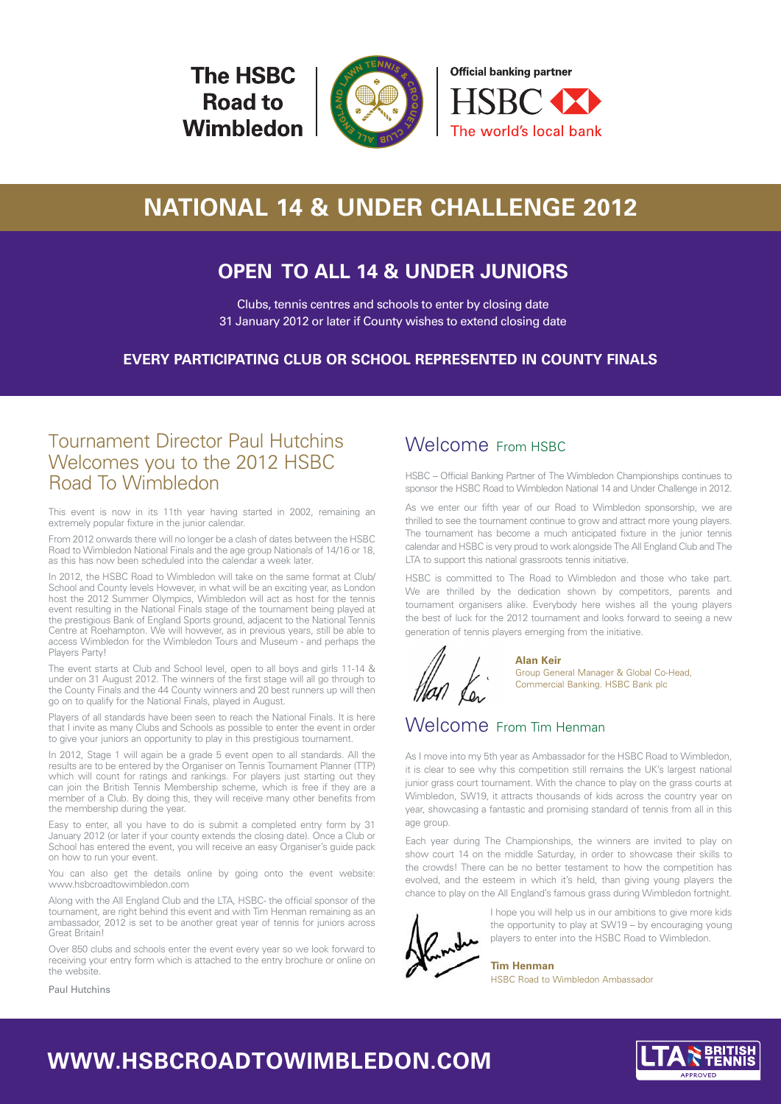**The HSBC Road to** Wimbledon





# **NATIONAL 14 & UNDER CHALLENGE 2012**

# **OPEN TO ALL 14 & UNDER JUNIORS**

Clubs, tennis centres and schools to enter by closing date 31 January 2012 or later if County wishes to extend closing date

**EVERY PARTICIPATING CLUB OR SCHOOL REPRESENTED IN COUNTY FINALS**

## Tournament Director Paul Hutchins Welcomes you to the 2012 HSBC Road To Wimbledon

This event is now in its 11th year having started in 2002, remaining an extremely popular fixture in the junior calendar.

From 2012 onwards there will no longer be a clash of dates between the HSBC Road to Wimbledon National Finals and the age group Nationals of 14/16 or 18, as this has now been scheduled into the calendar a week later.

In 2012, the HSBC Road to Wimbledon will take on the same format at Club/ School and County levels However, in what will be an exciting year, as London host the 2012 Summer Olympics, Wimbledon will act as host for the tennis event resulting in the National Finals stage of the tournament being played at the prestigious Bank of England Sports ground, adjacent to the National Tennis Centre at Roehampton. We will however, as in previous years, still be able to access Wimbledon for the Wimbledon Tours and Museum - and perhaps the Players Party!

The event starts at Club and School level, open to all boys and girls 11-14 & under on 31 August 2012. The winners of the first stage will all go through to the County Finals and the 44 County winners and 20 best runners up will then go on to qualify for the National Finals, played in August.

Players of all standards have been seen to reach the National Finals. It is here that I invite as many Clubs and Schools as possible to enter the event in order to give your juniors an opportunity to play in this prestigious tournament.

In 2012, Stage 1 will again be a grade 5 event open to all standards. All the results are to be entered by the Organiser on Tennis Tournament Planner (TTP) which will count for ratings and rankings. For players just starting out they can join the British Tennis Membership scheme, which is free if they are a member of a Club. By doing this, they will receive many other benefits from the membership during the year.

Easy to enter, all you have to do is submit a completed entry form by 31 January 2012 (or later if your county extends the closing date). Once a Club or School has entered the event, you will receive an easy Organiser's guide pack on how to run your event.

You can also get the details online by going onto the event website: www.hsbcroadtowimbledon.com

Along with the All England Club and the LTA, HSBC- the official sponsor of the tournament, are right behind this event and with Tim Henman remaining as an ambassador, 2012 is set to be another great year of tennis for juniors across Great Britain!

Over 850 clubs and schools enter the event every year so we look forward to receiving your entry form which is attached to the entry brochure or online on the website.

## Welcome From HSBC

HSBC – Official Banking Partner of The Wimbledon Championships continues to sponsor the HSBC Road to Wimbledon National 14 and Under Challenge in 2012.

As we enter our fifth year of our Road to Wimbledon sponsorship, we are thrilled to see the tournament continue to grow and attract more young players. The tournament has become a much anticipated fixture in the junior tennis calendar and HSBC is very proud to work alongside The All England Club and The LTA to support this national grassroots tennis initiative.

HSBC is committed to The Road to Wimbledon and those who take part. We are thrilled by the dedication shown by competitors, parents and tournament organisers alike. Everybody here wishes all the young players the best of luck for the 2012 tournament and looks forward to seeing a new generation of tennis players emerging from the initiative.



**Alan Keir**  Group General Manager & Global Co-Head, Commercial Banking. HSBC Bank plc

## Welcome From Tim Henman

As I move into my 5th year as Ambassador for the HSBC Road to Wimbledon, it is clear to see why this competition still remains the UK's largest national junior grass court tournament. With the chance to play on the grass courts at Wimbledon, SW19, it attracts thousands of kids across the country year on year, showcasing a fantastic and promising standard of tennis from all in this age group.

Each year during The Championships, the winners are invited to play on show court 14 on the middle Saturday, in order to showcase their skills to the crowds! There can be no better testament to how the competition has evolved, and the esteem in which it's held, than giving young players the chance to play on the All England's famous grass during Wimbledon fortnight.



I hope you will help us in our ambitions to give more kids the opportunity to play at SW19 – by encouraging young players to enter into the HSBC Road to Wimbledon.

**Tim Henman** HSBC Road to Wimbledon Ambassador

Paul Hutchins

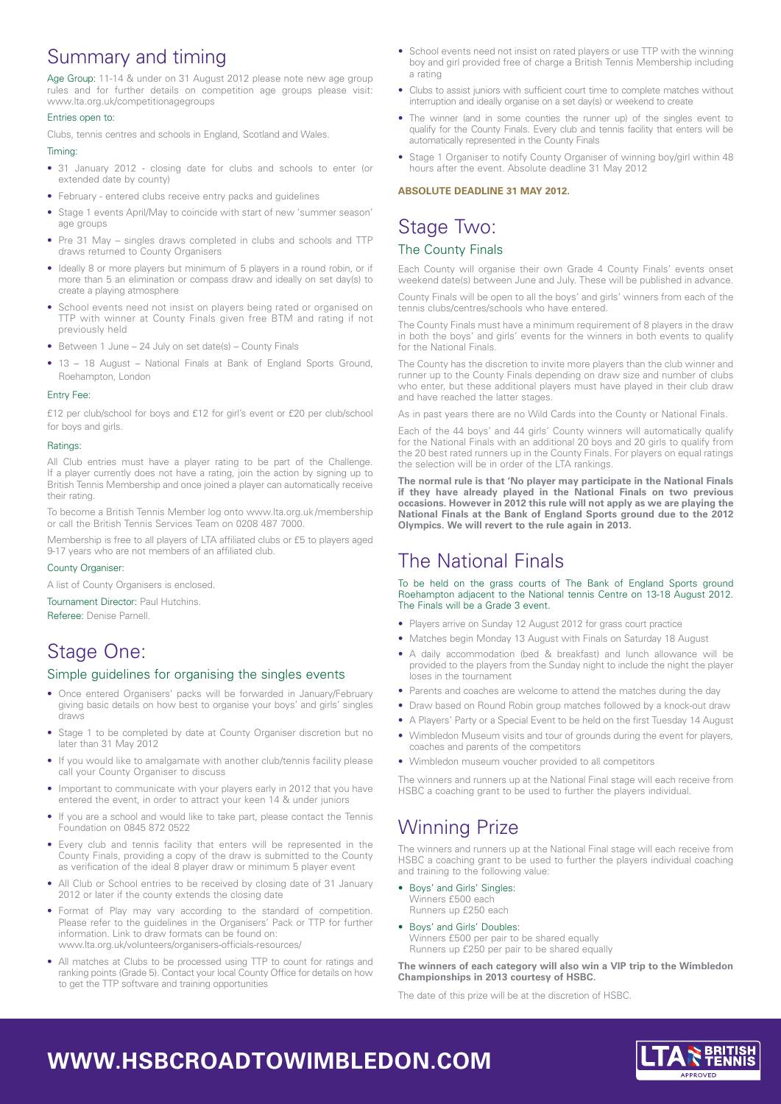# Summary and timing

Age Group: 11-14 & under on 31 August 2012 please note new age group rules and for further details on competition age groups please visit: www.lta.org.uk/competitionagegroups

### Entries open to:

Clubs, tennis centres and schools in England, Scotland and Wales.

### Timing:

- 31 January 2012 closing date for clubs and schools to enter (or extended date by county)
- February entered clubs receive entry packs and guidelines
- Stage 1 events April/May to coincide with start of new 'summer season' age groups
- Pre 31 May singles draws completed in clubs and schools and TTP draws returned to County Organisers
- Ideally 8 or more players but minimum of 5 players in a round robin, or if more than 5 an elimination or compass draw and ideally on set day(s) to create a playing atmosphere
- School events need not insist on players being rated or organised on TTP with winner at County Finals given free BTM and rating if not previously held
- Between 1 June 24 July on set date(s) County Finals
- 13 18 August National Finals at Bank of England Sports Ground, Roehampton, London

### Entry Fee:

£12 per club/school for boys and £12 for girl's event or £20 per club/school for boys and girls.

### Ratings:

All Club entries must have a player rating to be part of the Challenge. If a player currently does not have a rating, join the action by signing up to British Tennis Membership and once joined a player can automatically receive their rating.

To become a British Tennis Member log onto www.lta.org.uk /membership or call the British Tennis Services Team on 0208 487 7000.

Membership is free to all players of LTA affiliated clubs or £5 to players aged 9-17 years who are not members of an affiliated club.

### County Organiser:

A list of County Organisers is enclosed.

Tournament Director: Paul Hutchins.

Referee: Denise Parnell.

## Stage One:

## Simple guidelines for organising the singles events

- Once entered Organisers' packs will be forwarded in January/February giving basic details on how best to organise your boys' and girls' singles draws
- Stage 1 to be completed by date at County Organiser discretion but no later than 31 May 2012
- If you would like to amalgamate with another club/tennis facility please call your County Organiser to discuss
- Important to communicate with your players early in 2012 that you have entered the event, in order to attract your keen 14 & under juniors
- If you are a school and would like to take part, please contact the Tennis Foundation on 0845 872 0522
- Every club and tennis facility that enters will be represented in the County Finals, providing a copy of the draw is submitted to the County as verification of the ideal 8 player draw or minimum 5 player event
- All Club or School entries to be received by closing date of 31 January 2012 or later if the county extends the closing date
- Format of Play may vary according to the standard of competition. Please refer to the guidelines in the Organisers' Pack or TTP for further information. Link to draw formats can be found on: www.lta.org.uk/volunteers/organisers-officials-resources/
- All matches at Clubs to be processed using TTP to count for ratings and ranking points (Grade 5). Contact your local County Office for details on how to get the TTP software and training opportunities
- School events need not insist on rated players or use TTP with the winning boy and girl provided free of charge a British Tennis Membership including a rating
- Clubs to assist juniors with sufficient court time to complete matches without interruption and ideally organise on a set day(s) or weekend to create
- The winner (and in some counties the runner up) of the singles event to qualify for the County Finals. Every club and tennis facility that enters will be automatically represented in the County Finals
- Stage 1 Organiser to notify County Organiser of winning boy/girl within 48 hours after the event. Absolute deadline 31 May 2012

### **ABSOLUTE DEADLINE 31 MAY 2012.**

## Stage Two: The County Finals

### Each County will organise their own Grade 4 County Finals' events onset weekend date(s) between June and July. These will be published in advance.

County Finals will be open to all the boys' and girls' winners from each of the tennis clubs/centres/schools who have entered.

The County Finals must have a minimum requirement of 8 players in the draw in both the boys' and girls' events for the winners in both events to qualify for the National Finals.

The County has the discretion to invite more players than the club winner and runner up to the County Finals depending on draw size and number of clubs who enter, but these additional players must have played in their club draw and have reached the latter stages.

As in past years there are no Wild Cards into the County or National Finals.

Each of the 44 boys' and 44 girls' County winners will automatically qualify for the National Finals with an additional 20 boys and 20 girls to qualify from the 20 best rated runners up in the County Finals. For players on equal ratings the selection will be in order of the LTA rankings.

**The normal rule is that 'No player may participate in the National Finals if they have already played in the National Finals on two previous occasions. However in 2012 this rule will not apply as we are playing the National Finals at the Bank of England Sports ground due to the 2012 Olympics. We will revert to the rule again in 2013.** 

# The National Finals

To be held on the grass courts of The Bank of England Sports ground Roehampton adjacent to the National tennis Centre on 13-18 August 2012. The Finals will be a Grade 3 event.

- Players arrive on Sunday 12 August 2012 for grass court practice
- Matches begin Monday 13 August with Finals on Saturday 18 August
- A daily accommodation (bed & breakfast) and lunch allowance will be provided to the players from the Sunday night to include the night the player loses in the tournament
- Parents and coaches are welcome to attend the matches during the day
- Draw based on Round Robin group matches followed by a knock-out draw
- A Players' Party or a Special Event to be held on the first Tuesday 14 August
- Wimbledon Museum visits and tour of grounds during the event for players, coaches and parents of the competitors
- Wimbledon museum voucher provided to all competitors

The winners and runners up at the National Final stage will each receive from HSBC a coaching grant to be used to further the players individual.

# Winning Prize

The winners and runners up at the National Final stage will each receive from HSBC a coaching grant to be used to further the players individual coaching and training to the following value:

- Boys' and Girls' Singles: Winners £500 each Runners up £250 each
- Boys' and Girls' Doubles: Winners £500 per pair to be shared equally Runners up £250 per pair to be shared equally

**The winners of each category will also win a VIP trip to the Wimbledon Championships in 2013 courtesy of HSBC.** 

The date of this prize will be at the discretion of HSBC.

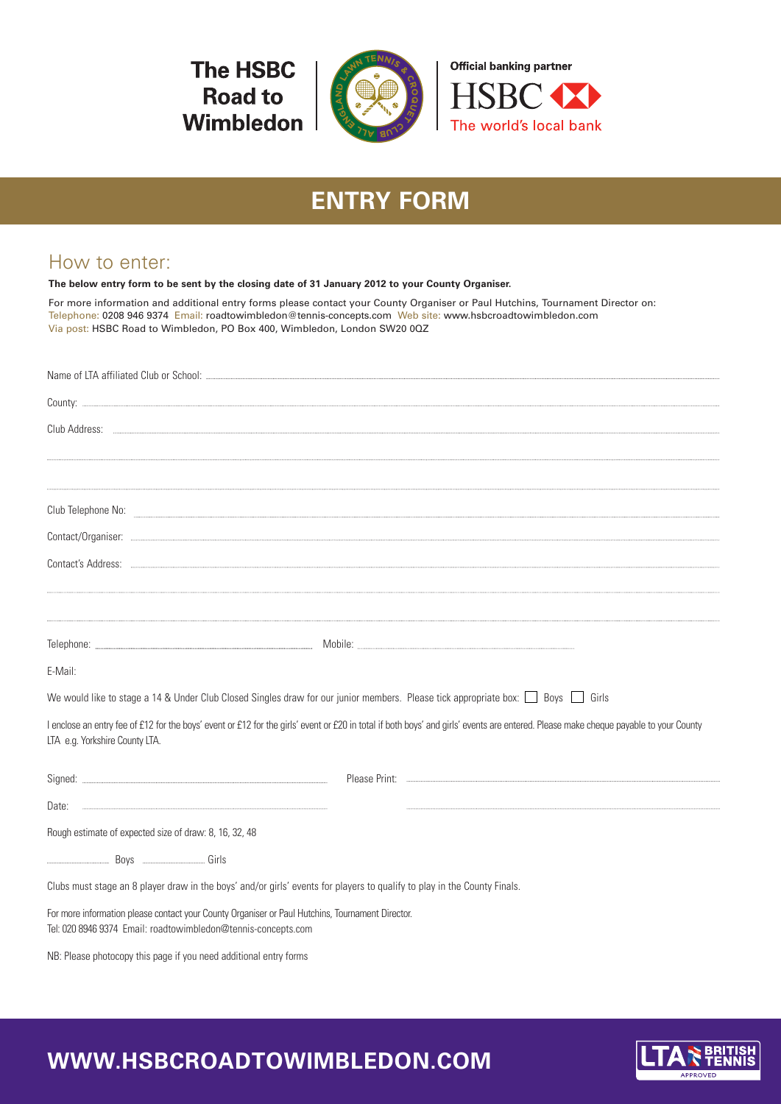**The HSBC Road to** Wimbledon



# **ENTRY FORM**

# How to enter:

**The below entry form to be sent by the closing date of 31 January 2012 to your County Organiser.**

For more information and additional entry forms please contact your County Organiser or Paul Hutchins, Tournament Director on: Telephone: 0208 946 9374 Email: roadtowimbledon@tennis-concepts.com Web site: www.hsbcroadtowimbledon.com Via post: HSBC Road to Wimbledon, PO Box 400, Wimbledon, London SW20 0QZ

| E-Mail:                                                                                                                                                                                                                |
|------------------------------------------------------------------------------------------------------------------------------------------------------------------------------------------------------------------------|
| We would like to stage a 14 & Under Club Closed Singles draw for our junior members. Please tick appropriate box: $\Box$ Boys $\Box$ Girls                                                                             |
| I enclose an entry fee of £12 for the boys' event or £12 for the girls' event or £20 in total if both boys' and girls' events are entered. Please make cheque payable to your County<br>LTA e.g. Yorkshire County LTA. |
|                                                                                                                                                                                                                        |
|                                                                                                                                                                                                                        |
| Rough estimate of expected size of draw: 8, 16, 32, 48                                                                                                                                                                 |
|                                                                                                                                                                                                                        |
| Clubs must stage an 8 player draw in the boys' and/or girls' events for players to qualify to play in the County Finals.                                                                                               |
| For more information please contact your County Organiser or Paul Hutchins, Tournament Director.<br>Tel: 020 8946 9374 Email: roadtowimbledon@tennis-concepts.com                                                      |

NB: Please photocopy this page if you need additional entry forms